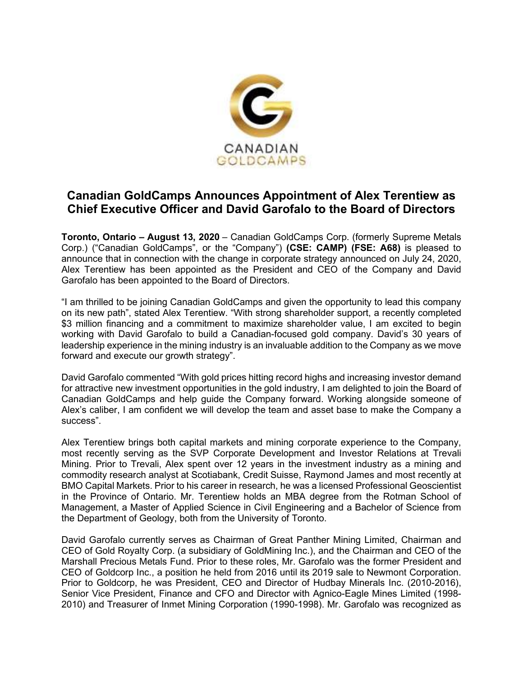

## **Canadian GoldCamps Announces Appointment of Alex Terentiew as Chief Executive Officer and David Garofalo to the Board of Directors**

**Toronto, Ontario – August 13, 2020** – Canadian GoldCamps Corp. (formerly Supreme Metals Corp.) ("Canadian GoldCamps", or the "Company") **(CSE: CAMP) (FSE: A68)** is pleased to announce that in connection with the change in corporate strategy announced on July 24, 2020, Alex Terentiew has been appointed as the President and CEO of the Company and David Garofalo has been appointed to the Board of Directors.

"I am thrilled to be joining Canadian GoldCamps and given the opportunity to lead this company on its new path", stated Alex Terentiew. "With strong shareholder support, a recently completed \$3 million financing and a commitment to maximize shareholder value, I am excited to begin working with David Garofalo to build a Canadian-focused gold company. David's 30 years of leadership experience in the mining industry is an invaluable addition to the Company as we move forward and execute our growth strategy".

David Garofalo commented "With gold prices hitting record highs and increasing investor demand for attractive new investment opportunities in the gold industry, I am delighted to join the Board of Canadian GoldCamps and help guide the Company forward. Working alongside someone of Alex's caliber, I am confident we will develop the team and asset base to make the Company a success".

Alex Terentiew brings both capital markets and mining corporate experience to the Company, most recently serving as the SVP Corporate Development and Investor Relations at Trevali Mining. Prior to Trevali, Alex spent over 12 years in the investment industry as a mining and commodity research analyst at Scotiabank, Credit Suisse, Raymond James and most recently at BMO Capital Markets. Prior to his career in research, he was a licensed Professional Geoscientist in the Province of Ontario. Mr. Terentiew holds an MBA degree from the Rotman School of Management, a Master of Applied Science in Civil Engineering and a Bachelor of Science from the Department of Geology, both from the University of Toronto.

David Garofalo currently serves as Chairman of Great Panther Mining Limited, Chairman and CEO of Gold Royalty Corp. (a subsidiary of GoldMining Inc.), and the Chairman and CEO of the Marshall Precious Metals Fund. Prior to these roles, Mr. Garofalo was the former President and CEO of Goldcorp Inc., a position he held from 2016 until its 2019 sale to Newmont Corporation. Prior to Goldcorp, he was President, CEO and Director of Hudbay Minerals Inc. (2010-2016), Senior Vice President, Finance and CFO and Director with Agnico-Eagle Mines Limited (1998- 2010) and Treasurer of Inmet Mining Corporation (1990-1998). Mr. Garofalo was recognized as